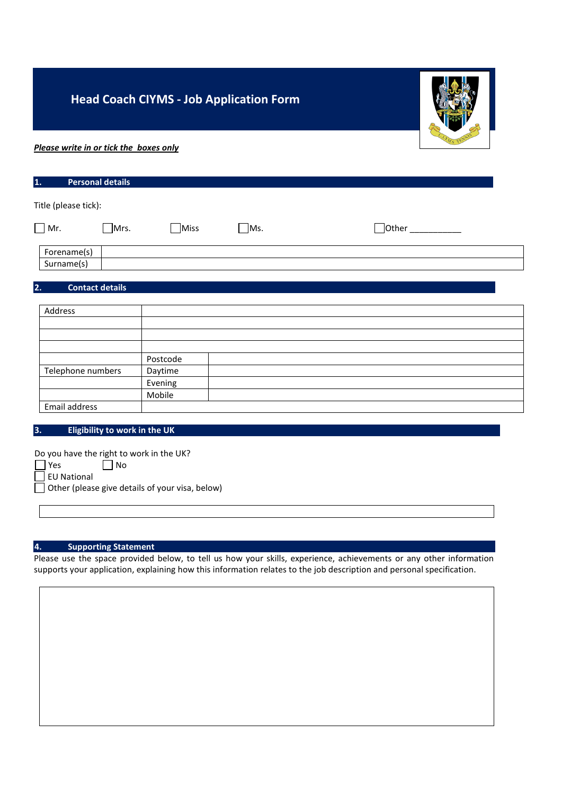# **Head Coach CIYMS - Job Application Form**



# *Please write in or tick the boxes only*

| $\vert$ 1. | <b>Personal details</b> |
|------------|-------------------------|
|            | Title (please tick):    |

| Mr.         | Mrs. | Miss | Ms. | <b>Othe</b><br>________ |
|-------------|------|------|-----|-------------------------|
| Forename(s) |      |      |     |                         |
| Surname(s)  |      |      |     |                         |

## **2. Contact details**

| Address           |          |  |
|-------------------|----------|--|
|                   |          |  |
|                   |          |  |
|                   |          |  |
|                   | Postcode |  |
| Telephone numbers | Daytime  |  |
|                   | Evening  |  |
|                   | Mobile   |  |
| Email address     |          |  |

## **3. Eligibility to work in the UK**

|                    | Do you have the right to work in the UK?        |
|--------------------|-------------------------------------------------|
| $ $ Yes            | No                                              |
| $\Box$ EU National |                                                 |
|                    | Other (please give details of your visa, below) |

### **4. Supporting Statement**

Please use the space provided below, to tell us how your skills, experience, achievements or any other information supports your application, explaining how this information relates to the job description and personal specification.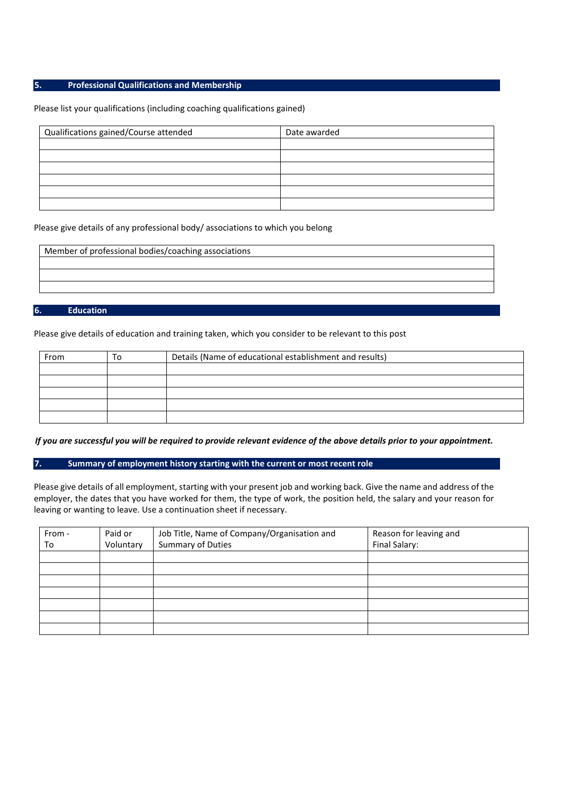### **5. Professional Qualifications and Membership**

#### Please list your qualifications (including coaching qualifications gained)

| Qualifications gained/Course attended | Date awarded |  |
|---------------------------------------|--------------|--|
|                                       |              |  |
|                                       |              |  |
|                                       |              |  |
|                                       |              |  |
|                                       |              |  |
|                                       |              |  |

#### Please give details of any professional body/ associations to which you belong

#### **6. Education**

Please give details of education and training taken, which you consider to be relevant to this post

| From | To | Details (Name of educational establishment and results) |  |  |
|------|----|---------------------------------------------------------|--|--|
|      |    |                                                         |  |  |
|      |    |                                                         |  |  |
|      |    |                                                         |  |  |
|      |    |                                                         |  |  |
|      |    |                                                         |  |  |

*If you are successful you will be required to provide relevant evidence of the above details prior to your appointment.*

**7. Summary of employment history starting with the current or most recent role**

Please give details of all employment, starting with your present job and working back. Give the name and address of the employer, the dates that you have worked for them, the type of work, the position held, the salary and your reason for leaving or wanting to leave. Use a continuation sheet if necessary.

| From - | Paid or   | Job Title, Name of Company/Organisation and | Reason for leaving and |
|--------|-----------|---------------------------------------------|------------------------|
| To     | Voluntary | Summary of Duties                           | Final Salary:          |
|        |           |                                             |                        |
|        |           |                                             |                        |
|        |           |                                             |                        |
|        |           |                                             |                        |
|        |           |                                             |                        |
|        |           |                                             |                        |
|        |           |                                             |                        |